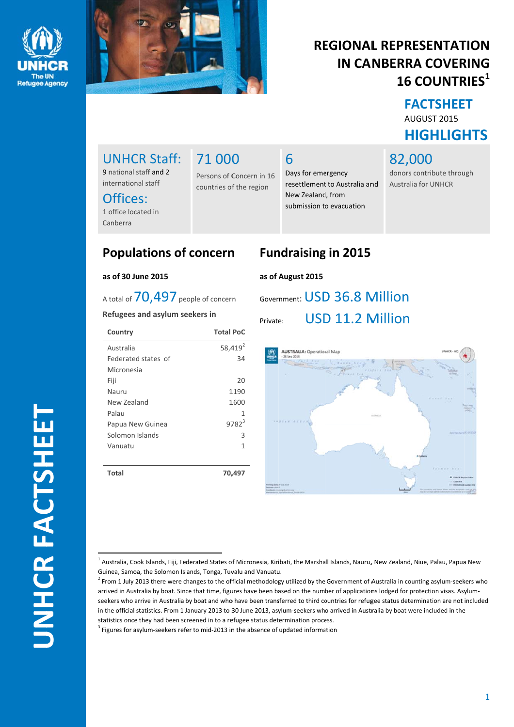



### **REGIONAL REPRESENTATION IN CANBERRA COVERING 16 COUNTRIES**<sup>1</sup>

**FACTSHEET** AUGUST 2015 **HIGHLIGHTS** 

82,000

donors contribute through **Australia for UNHCR** 

### **UNHCR Staff:** 9 national staff and 2

international staff

# Offices:

1 office located in Canberra

# 71 000

Persons of Concern in 16 countries of the region

### 6

### **Populations of concern**

#### as of 30 June 2015

A total of 70.497 people of concern

#### Refugees and asylum seekers in

| Country             | <b>Total PoC</b>    |
|---------------------|---------------------|
| Australia           | 58,419 <sup>2</sup> |
| Federated states of | 34                  |
| Micronesia          |                     |
| Fiji                | 20                  |
| Nauru               | 1190                |
| New Zealand         | 1600                |
| Palau               | 1                   |
| Papua New Guinea    | $9782^{3}$          |
| Solomon Islands     | 3                   |
| Vanuatu             | 1                   |
|                     |                     |
| Total               | 70,497              |

### **Fundraising in 2015**

Days for emergency

New Zealand, from

resettlement to Australia and

submission to evacuation

#### as of August 2015

### Government: USD 36.8 Million USD 11.2 Million

Private:



<sup>&</sup>lt;sup>1</sup> Australia, Cook Islands, Fiji, Federated States of Micronesia, Kiribati, the Marshall Islands, Nauru, New Zealand, Niue, Palau, Papua New Guinea, Samoa, the Solomon Islands, Tonga, Tuvalu and Vanuatu.

<sup>&</sup>lt;sup>2</sup> From 1 July 2013 there were changes to the official methodology utilized by the Government of Australia in counting asylum-seekers who arrived in Australia by boat. Since that time, figures have been based on the number of applications lodged for protection visas. Asylumseekers who arrive in Australia by boat and who have been transferred to third countries for refugee status determination are not included in the official statistics. From 1 January 2013 to 30 June 2013, asylum-seekers who arrived in Australia by boat were included in the statistics once they had been screened in to a refugee status determination process.

<sup>&</sup>lt;sup>3</sup> Figures for asylum-seekers refer to mid-2013 in the absence of updated information